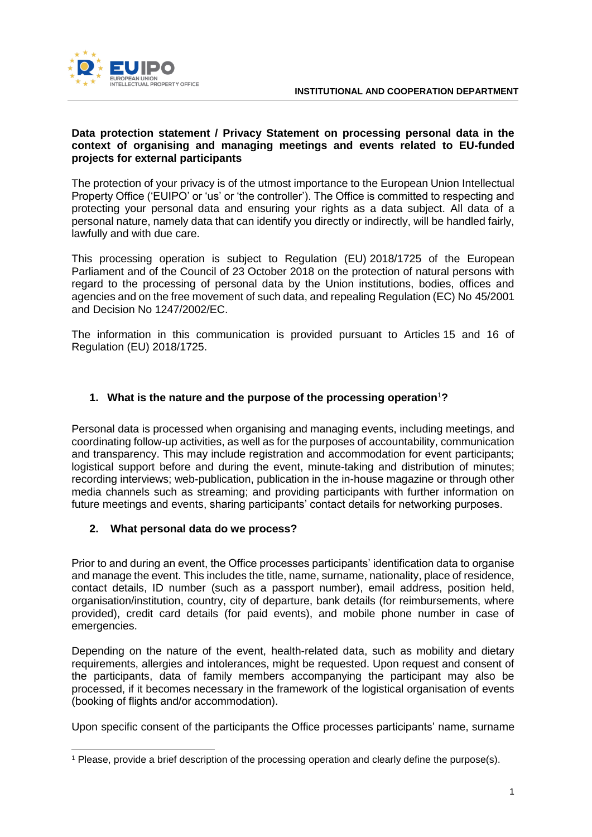

#### **Data protection statement / Privacy Statement on processing personal data in the context of organising and managing meetings and events related to EU-funded projects for external participants**

The protection of your privacy is of the utmost importance to the European Union Intellectual Property Office ('EUIPO' or 'us' or 'the controller'). The Office is committed to respecting and protecting your personal data and ensuring your rights as a data subject. All data of a personal nature, namely data that can identify you directly or indirectly, will be handled fairly, lawfully and with due care.

This processing operation is subject to Regulation (EU) 2018/1725 of the European Parliament and of the Council of 23 October 2018 on the protection of natural persons with regard to the processing of personal data by the Union institutions, bodies, offices and agencies and on the free movement of such data, and repealing Regulation (EC) No 45/2001 and Decision No 1247/2002/EC.

The information in this communication is provided pursuant to Articles 15 and 16 of Regulation (EU) 2018/1725.

# **1. What is the nature and the purpose of the processing operation**<sup>1</sup>**?**

Personal data is processed when organising and managing events, including meetings, and coordinating follow-up activities, as well as for the purposes of accountability, communication and transparency. This may include registration and accommodation for event participants; logistical support before and during the event, minute-taking and distribution of minutes; recording interviews; web-publication, publication in the in-house magazine or through other media channels such as streaming; and providing participants with further information on future meetings and events, sharing participants' contact details for networking purposes.

### **2. What personal data do we process?**

-

Prior to and during an event, the Office processes participants' identification data to organise and manage the event. This includes the title, name, surname, nationality, place of residence, contact details, ID number (such as a passport number), email address, position held, organisation/institution, country, city of departure, bank details (for reimbursements, where provided), credit card details (for paid events), and mobile phone number in case of emergencies.

Depending on the nature of the event, health-related data, such as mobility and dietary requirements, allergies and intolerances, might be requested. Upon request and consent of the participants, data of family members accompanying the participant may also be processed, if it becomes necessary in the framework of the logistical organisation of events (booking of flights and/or accommodation).

Upon specific consent of the participants the Office processes participants' name, surname

<sup>1</sup> Please, provide a brief description of the processing operation and clearly define the purpose(s).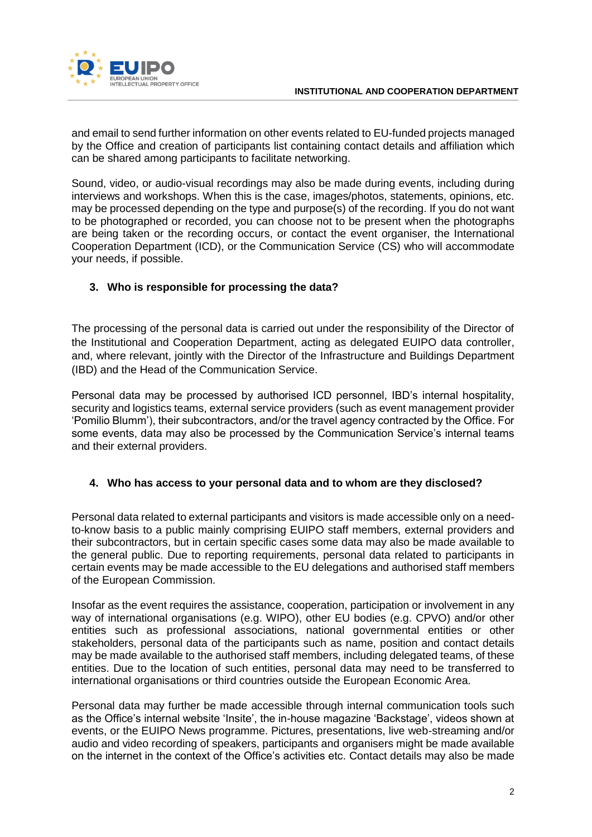

and email to send further information on other events related to EU-funded projects managed by the Office and creation of participants list containing contact details and affiliation which can be shared among participants to facilitate networking.

Sound, video, or audio-visual recordings may also be made during events, including during interviews and workshops. When this is the case, images/photos, statements, opinions, etc. may be processed depending on the type and purpose(s) of the recording. If you do not want to be photographed or recorded, you can choose not to be present when the photographs are being taken or the recording occurs, or contact the event organiser, the International Cooperation Department (ICD), or the Communication Service (CS) who will accommodate your needs, if possible.

# **3. Who is responsible for processing the data?**

The processing of the personal data is carried out under the responsibility of the Director of the Institutional and Cooperation Department, acting as delegated EUIPO data controller, and, where relevant, jointly with the Director of the Infrastructure and Buildings Department (IBD) and the Head of the Communication Service.

Personal data may be processed by authorised ICD personnel, IBD's internal hospitality, security and logistics teams, external service providers (such as event management provider 'Pomilio Blumm'), their subcontractors, and/or the travel agency contracted by the Office. For some events, data may also be processed by the Communication Service's internal teams and their external providers.

# **4. Who has access to your personal data and to whom are they disclosed?**

Personal data related to external participants and visitors is made accessible only on a needto-know basis to a public mainly comprising EUIPO staff members, external providers and their subcontractors, but in certain specific cases some data may also be made available to the general public. Due to reporting requirements, personal data related to participants in certain events may be made accessible to the EU delegations and authorised staff members of the European Commission.

Insofar as the event requires the assistance, cooperation, participation or involvement in any way of international organisations (e.g. WIPO), other EU bodies (e.g. CPVO) and/or other entities such as professional associations, national governmental entities or other stakeholders, personal data of the participants such as name, position and contact details may be made available to the authorised staff members, including delegated teams, of these entities. Due to the location of such entities, personal data may need to be transferred to international organisations or third countries outside the European Economic Area.

Personal data may further be made accessible through internal communication tools such as the Office's internal website 'Insite', the in-house magazine 'Backstage', videos shown at events, or the EUIPO News programme. Pictures, presentations, live web-streaming and/or audio and video recording of speakers, participants and organisers might be made available on the internet in the context of the Office's activities etc. Contact details may also be made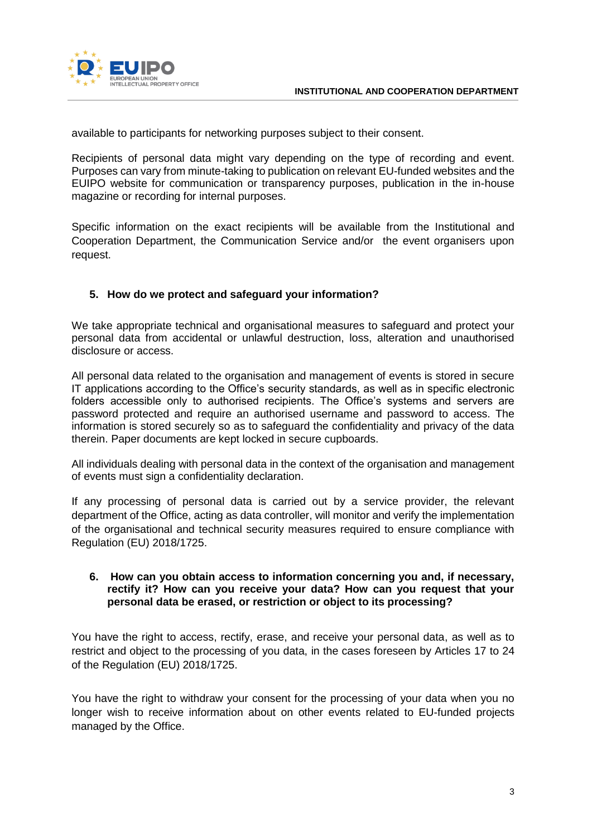

available to participants for networking purposes subject to their consent.

Recipients of personal data might vary depending on the type of recording and event. Purposes can vary from minute-taking to publication on relevant EU-funded websites and the EUIPO website for communication or transparency purposes, publication in the in-house magazine or recording for internal purposes.

Specific information on the exact recipients will be available from the Institutional and Cooperation Department, the Communication Service and/or the event organisers upon request.

## **5. How do we protect and safeguard your information?**

We take appropriate technical and organisational measures to safeguard and protect your personal data from accidental or unlawful destruction, loss, alteration and unauthorised disclosure or access.

All personal data related to the organisation and management of events is stored in secure IT applications according to the Office's security standards, as well as in specific electronic folders accessible only to authorised recipients. The Office's systems and servers are password protected and require an authorised username and password to access. The information is stored securely so as to safeguard the confidentiality and privacy of the data therein. Paper documents are kept locked in secure cupboards.

All individuals dealing with personal data in the context of the organisation and management of events must sign a confidentiality declaration.

If any processing of personal data is carried out by a service provider, the relevant department of the Office, acting as data controller, will monitor and verify the implementation of the organisational and technical security measures required to ensure compliance with Regulation (EU) 2018/1725.

#### **6. How can you obtain access to information concerning you and, if necessary, rectify it? How can you receive your data? How can you request that your personal data be erased, or restriction or object to its processing?**

You have the right to access, rectify, erase, and receive your personal data, as well as to restrict and object to the processing of you data, in the cases foreseen by Articles 17 to 24 of the Regulation (EU) 2018/1725.

You have the right to withdraw your consent for the processing of your data when you no longer wish to receive information about on other events related to EU-funded projects managed by the Office.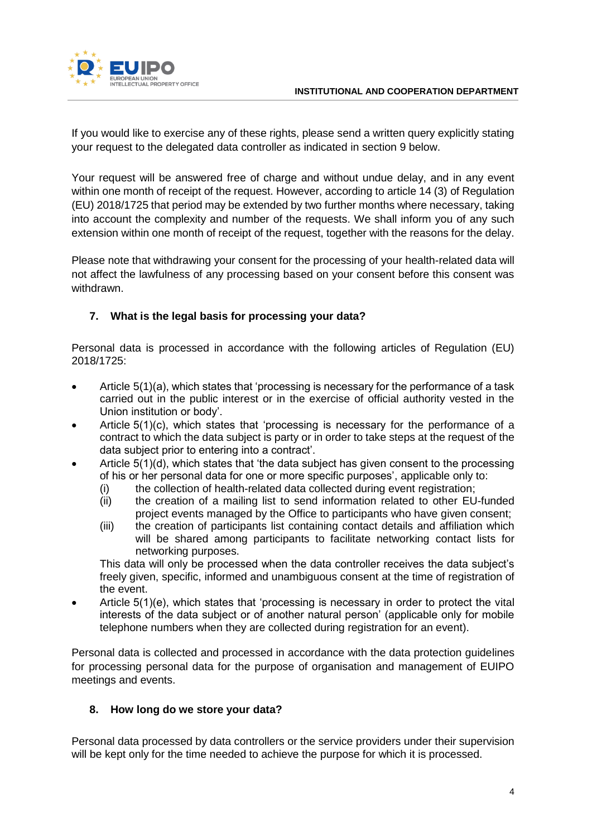

If you would like to exercise any of these rights, please send a written query explicitly stating your request to the delegated data controller as indicated in section 9 below.

Your request will be answered free of charge and without undue delay, and in any event within one month of receipt of the request. However, according to article 14 (3) of Regulation (EU) 2018/1725 that period may be extended by two further months where necessary, taking into account the complexity and number of the requests. We shall inform you of any such extension within one month of receipt of the request, together with the reasons for the delay.

Please note that withdrawing your consent for the processing of your health-related data will not affect the lawfulness of any processing based on your consent before this consent was withdrawn.

# **7. What is the legal basis for processing your data?**

Personal data is processed in accordance with the following articles of Regulation (EU) 2018/1725:

- Article 5(1)(a), which states that 'processing is necessary for the performance of a task carried out in the public interest or in the exercise of official authority vested in the Union institution or body'.
- Article 5(1)(c), which states that 'processing is necessary for the performance of a contract to which the data subject is party or in order to take steps at the request of the data subject prior to entering into a contract'.
- Article 5(1)(d), which states that 'the data subject has given consent to the processing of his or her personal data for one or more specific purposes', applicable only to:
	- (i) the collection of health-related data collected during event registration;
	- (ii) the creation of a mailing list to send information related to other EU-funded project events managed by the Office to participants who have given consent;
	- (iii) the creation of participants list containing contact details and affiliation which will be shared among participants to facilitate networking contact lists for networking purposes.

This data will only be processed when the data controller receives the data subject's freely given, specific, informed and unambiguous consent at the time of registration of the event.

 Article 5(1)(e), which states that 'processing is necessary in order to protect the vital interests of the data subject or of another natural person' (applicable only for mobile telephone numbers when they are collected during registration for an event).

Personal data is collected and processed in accordance with the data protection guidelines for processing personal data for the purpose of organisation and management of EUIPO meetings and events.

### **8. How long do we store your data?**

Personal data processed by data controllers or the service providers under their supervision will be kept only for the time needed to achieve the purpose for which it is processed.